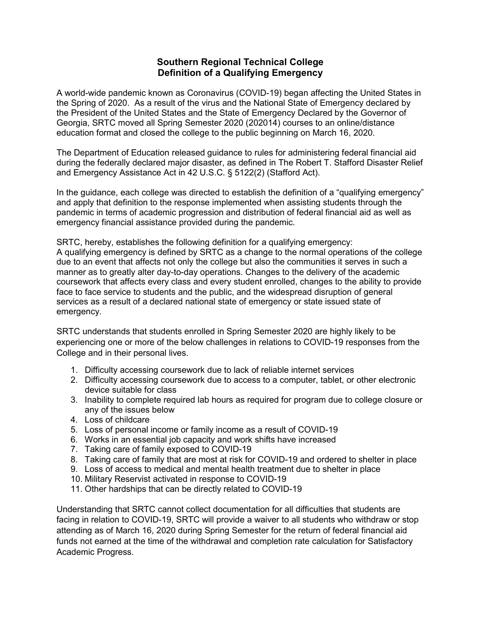## **Southern Regional Technical College Definition of a Qualifying Emergency**

A world-wide pandemic known as Coronavirus (COVID-19) began affecting the United States in the Spring of 2020. As a result of the virus and the National State of Emergency declared by the President of the United States and the State of Emergency Declared by the Governor of Georgia, SRTC moved all Spring Semester 2020 (202014) courses to an online/distance education format and closed the college to the public beginning on March 16, 2020.

The Department of Education released guidance to rules for administering federal financial aid during the federally declared major disaster, as defined in The Robert T. Stafford Disaster Relief and Emergency Assistance Act in 42 U.S.C. § 5122(2) (Stafford Act).

In the guidance, each college was directed to establish the definition of a "qualifying emergency" and apply that definition to the response implemented when assisting students through the pandemic in terms of academic progression and distribution of federal financial aid as well as emergency financial assistance provided during the pandemic.

SRTC, hereby, establishes the following definition for a qualifying emergency:

A qualifying emergency is defined by SRTC as a change to the normal operations of the college due to an event that affects not only the college but also the communities it serves in such a manner as to greatly alter day-to-day operations. Changes to the delivery of the academic coursework that affects every class and every student enrolled, changes to the ability to provide face to face service to students and the public, and the widespread disruption of general services as a result of a declared national state of emergency or state issued state of emergency.

SRTC understands that students enrolled in Spring Semester 2020 are highly likely to be experiencing one or more of the below challenges in relations to COVID-19 responses from the College and in their personal lives.

- 1. Difficulty accessing coursework due to lack of reliable internet services
- 2. Difficulty accessing coursework due to access to a computer, tablet, or other electronic device suitable for class
- 3. Inability to complete required lab hours as required for program due to college closure or any of the issues below
- 4. Loss of childcare
- 5. Loss of personal income or family income as a result of COVID-19
- 6. Works in an essential job capacity and work shifts have increased
- 7. Taking care of family exposed to COVID-19
- 8. Taking care of family that are most at risk for COVID-19 and ordered to shelter in place
- 9. Loss of access to medical and mental health treatment due to shelter in place
- 10. Military Reservist activated in response to COVID-19
- 11. Other hardships that can be directly related to COVID-19

Understanding that SRTC cannot collect documentation for all difficulties that students are facing in relation to COVID-19, SRTC will provide a waiver to all students who withdraw or stop attending as of March 16, 2020 during Spring Semester for the return of federal financial aid funds not earned at the time of the withdrawal and completion rate calculation for Satisfactory Academic Progress.